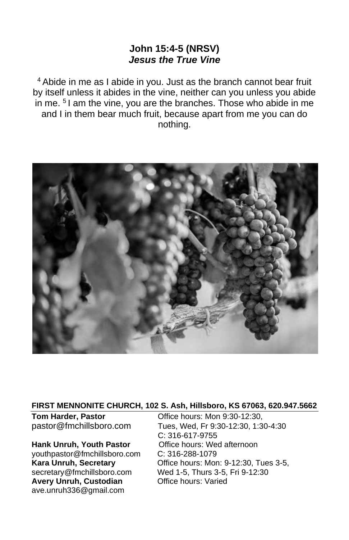## **John 15:4-5 (NRSV)** *Jesus the True Vine*

<sup>4</sup> Abide in me as I abide in you. Just as the branch cannot bear fruit by itself unless it abides in the vine, neither can you unless you abide in me. <sup>5</sup> I am the vine, you are the branches. Those who abide in me and I in them bear much fruit, because apart from me you can do nothing.



#### **FIRST MENNONITE CHURCH, 102 S. Ash, Hillsboro, KS 67063, 620.947.5662**

[youthpastor@fmchillsboro.com](mailto:youthpastor@fmchillsboro.com) C: 316-288-1079 **Avery Unruh, Custodian Office hours: Varied** ave.unruh336@gmail.com

**Tom Harder, Pastor Coffice hours: Mon 9:30-12:30,** pastor@fmchillsboro.com Tues, Wed, Fr 9:30-12:30, 1:30-4:30 C: 316-617-9755 **Hank Unruh, Youth Pastor Office hours: Wed afternoon Kara Unruh, Secretary Character Constructs: Mon: 9-12:30, Tues 3-5,** secretary@fmchillsboro.com Wed 1-5, Thurs 3-5, Fri 9-12:30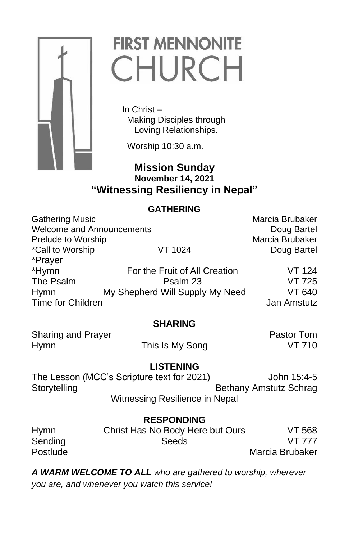

# **FIRST MENNONITE** CHURCH

 In Christ – Making Disciples through Loving Relationships.

Worship 10:30 a.m.

# **Mission Sunday November 14, 2021 "Witnessing Resiliency in Nepal"**

# **GATHERING**

| <b>Gathering Music</b>           |                                 | Marcia Brubaker |
|----------------------------------|---------------------------------|-----------------|
| <b>Welcome and Announcements</b> |                                 | Doug Bartel     |
| Prelude to Worship               |                                 | Marcia Brubaker |
| *Call to Worship                 | VT 1024                         | Doug Bartel     |
| *Prayer                          |                                 |                 |
| *Hymn                            | For the Fruit of All Creation   | <b>VT 124</b>   |
| The Psalm                        | Psalm 23                        | <b>VT 725</b>   |
| <b>Hymn</b>                      | My Shepherd Will Supply My Need | VT 640          |
| Time for Children                |                                 | Jan Amstutz     |

## **SHARING**

Sharing and Prayer **Pastor Tom** Hymn **This Is My Song This Is My Song This Is My Song This Is N** 

## **LISTENING**

The Lesson (MCC's Scripture text for 2021) John 15:4-5 Storytelling **Bethany Amstutz Schrag** Witnessing Resilience in Nepal

| <b>RESPONDING</b> |                                  |                 |  |
|-------------------|----------------------------------|-----------------|--|
| Hymn              | Christ Has No Body Here but Ours | VT 568          |  |
| Sending           | Seeds                            | <b>VT 777</b>   |  |
| Postlude          |                                  | Marcia Brubaker |  |

*A WARM WELCOME TO ALL who are gathered to worship, wherever you are, and whenever you watch this service!*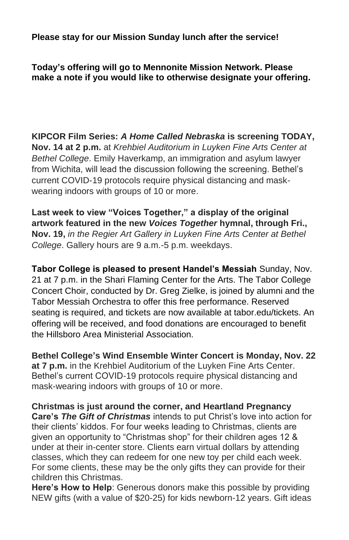**Please stay for our Mission Sunday lunch after the service!**

**Today's offering will go to Mennonite Mission Network. Please make a note if you would like to otherwise designate your offering.**

**KIPCOR Film Series:** *A Home Called Nebraska* **is screening TODAY, Nov. 14 at 2 p.m.** at *Krehbiel Auditorium in Luyken Fine Arts Center at Bethel College*. Emily Haverkamp, an immigration and asylum lawyer from Wichita, will lead the discussion following the screening. Bethel's current COVID-19 protocols require physical distancing and maskwearing indoors with groups of 10 or more.

**Last week to view "Voices Together," a display of the original artwork featured in the new** *Voices Together* **hymnal, through Fri., Nov. 19,** *in the Regier Art Gallery in Luyken Fine Arts Center at Bethel College*. Gallery hours are 9 a.m.-5 p.m. weekdays.

**Tabor College is pleased to present Handel's Messiah** Sunday, Nov. 21 at 7 p.m. in the Shari Flaming Center for the Arts. The Tabor College Concert Choir, conducted by Dr. Greg Zielke, is joined by alumni and the Tabor Messiah Orchestra to offer this free performance. Reserved seating is required, and tickets are now available at tabor.edu/tickets. An offering will be received, and food donations are encouraged to benefit the Hillsboro Area Ministerial Association.

**Bethel College's Wind Ensemble Winter Concert is Monday, Nov. 22 at 7 p.m.** in the Krehbiel Auditorium of the Luyken Fine Arts Center. Bethel's current COVID-19 protocols require physical distancing and mask-wearing indoors with groups of 10 or more.

**Christmas is just around the corner, and Heartland Pregnancy Care's** *The Gift of Christmas* intends to put Christ's love into action for their clients' kiddos. For four weeks leading to Christmas, clients are given an opportunity to "Christmas shop" for their children ages 12 & under at their in-center store. Clients earn virtual dollars by attending classes, which they can redeem for one new toy per child each week. For some clients, these may be the only gifts they can provide for their children this Christmas.

**Here's How to Help**: Generous donors make this possible by providing NEW gifts (with a value of \$20-25) for kids newborn-12 years. Gift ideas